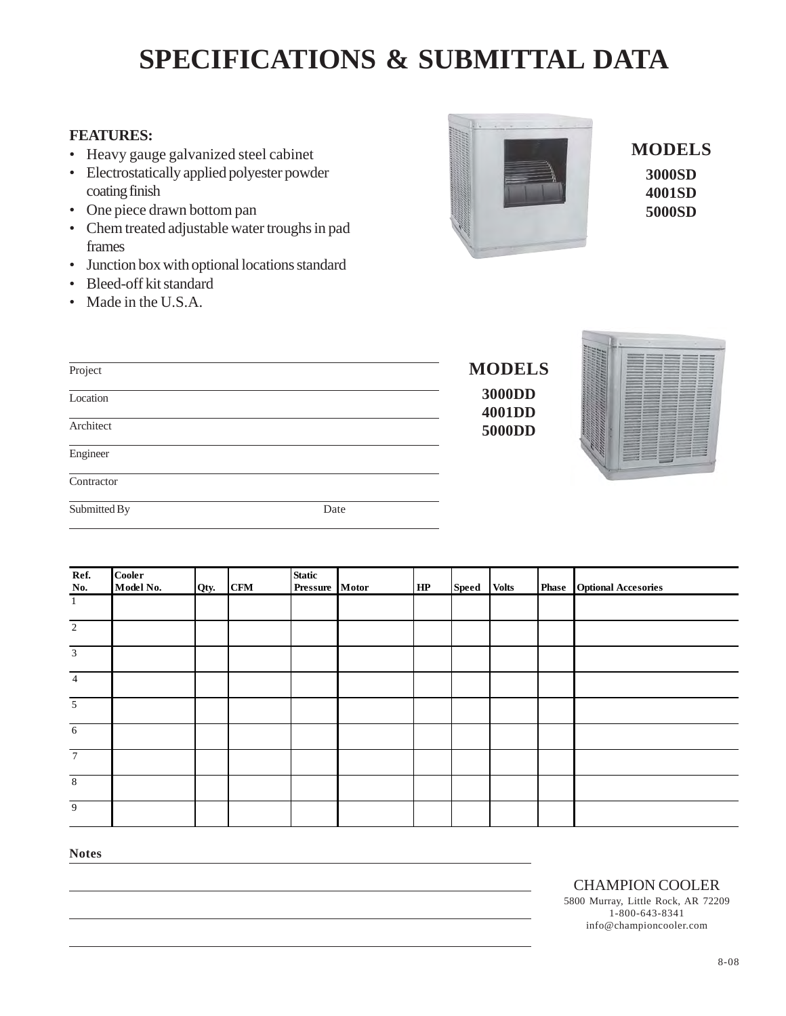## **SPECIFICATIONS & SUBMITTAL DATA**

## **FEATURES:**

- Heavy gauge galvanized steel cabinet
- Electrostatically applied polyester powder coating finish
- One piece drawn bottom pan
- Chem treated adjustable water troughs in pad frames
- Junction box with optional locations standard
- Bleed-off kit standard
- Made in the U.S.A.



**MODELS 3000SD 4001SD 5000SD**

| Project      |        | <b>MODELS</b>           |
|--------------|--------|-------------------------|
| Location     |        | 3000DD<br><b>4001DD</b> |
| Architect    | 5000DD |                         |
| Engineer     |        |                         |
| Contractor   |        |                         |
| Submitted By | Date   |                         |

| Ref.<br>No.     | <b>Cooler</b><br>Model No. | Qty. | <b>CFM</b> | Static<br>Pressure Motor | HP | Speed | <b>Volts</b> | <b>Phase</b> Optional Accesories |
|-----------------|----------------------------|------|------------|--------------------------|----|-------|--------------|----------------------------------|
| $\mathbf{1}$    |                            |      |            |                          |    |       |              |                                  |
| 2               |                            |      |            |                          |    |       |              |                                  |
| $\overline{3}$  |                            |      |            |                          |    |       |              |                                  |
| $\overline{4}$  |                            |      |            |                          |    |       |              |                                  |
| $\overline{5}$  |                            |      |            |                          |    |       |              |                                  |
| $\overline{6}$  |                            |      |            |                          |    |       |              |                                  |
| $7\overline{ }$ |                            |      |            |                          |    |       |              |                                  |
| $\,8\,$         |                            |      |            |                          |    |       |              |                                  |
| $\overline{9}$  |                            |      |            |                          |    |       |              |                                  |

**Notes**

CHAMPION COOLER

5800 Murray, Little Rock, AR 72209 1-800-643-8341 info@championcooler.com